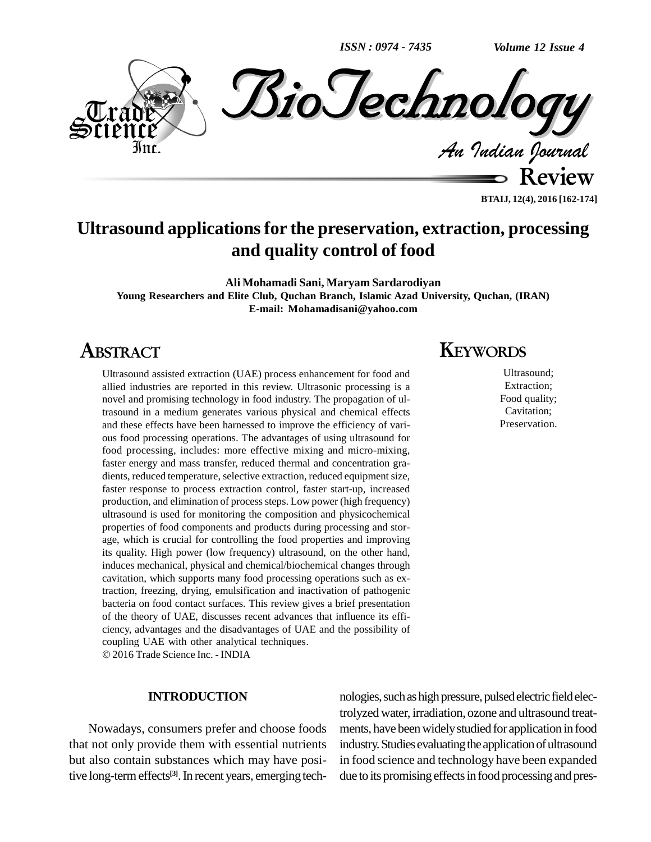*ISSN : 0974 - 7435*



**BTAIJ, 12(4), 2016 [162-174]**

### **Ultrasound applicationsfor the preservation, extraction, processing and quality control of food**

**Ali Mohamadi Sani, Maryam Sardarodiyan Young Researchers and Elite Club, Quchan Branch, Islamic Azad University, Quchan, (IRAN) E-mail: [Mohamadisani@yahoo.com](mailto:Mohamadisani@yahoo.com)**

### **ABSTRACT**

Ultrasound assisted extraction (UAE) process enhancement for food and allied industries are reported in this review. Ultrasonic processing is a novel and promising technology in food industry. The propagation of ultrasound in a medium generates various physical and chemical effects and these effects have been harnessed to improve the efficiency of vari ous food processing operations. The advantages of using ultrasound for food processing, includes: more effective mixing and micro-mixing, faster energy and mass transfer, reduced thermal and concentration gra dients, reduced temperature, selective extraction, reduced equipment size, faster response to process extraction control, faster start-up, increased production, and elimination of process steps. Low power (high frequency) ultrasound is used for monitoring the composition and physicochemical properties of food components and products during processing and stor age, which is crucial for controlling the food properties and improving its quality. High power (low frequency) ultrasound, on the other hand, induces mechanical, physical and chemical/biochemical changes through cavitation, which supports many food processing operations such as extraction, freezing, drying, emulsification and inactivation of pathogenic bacteria on food contact surfaces. This review gives a brief presentation of the theory of UAE, discusses recent advances that influence its efficiency, advantages and the disadvantages of UAE and the possibility of coupling UAE with other analytical techniques. 2016Trade Science Inc. - INDIA

#### **INTRODUCTION**

Nowadays, consumers prefer and choose foods that not only provide them with essential nutrients but also contain substances which may have positive long-term effects<sup>[3]</sup>. In recent years, emerging tech-

### **KEYWORDS**

Ultrasound; Extraction; Food quality; Cavitation; Preservation.

nologies, such as high pressure, pulsed electric field electrolyzed water, irradiation, ozone and ultrasound treat ments, have beenwidelystudied for application in food industry. Studies evaluating the application of ultrasound in food science and technology have been expanded due to its promising effects in food processing and pres-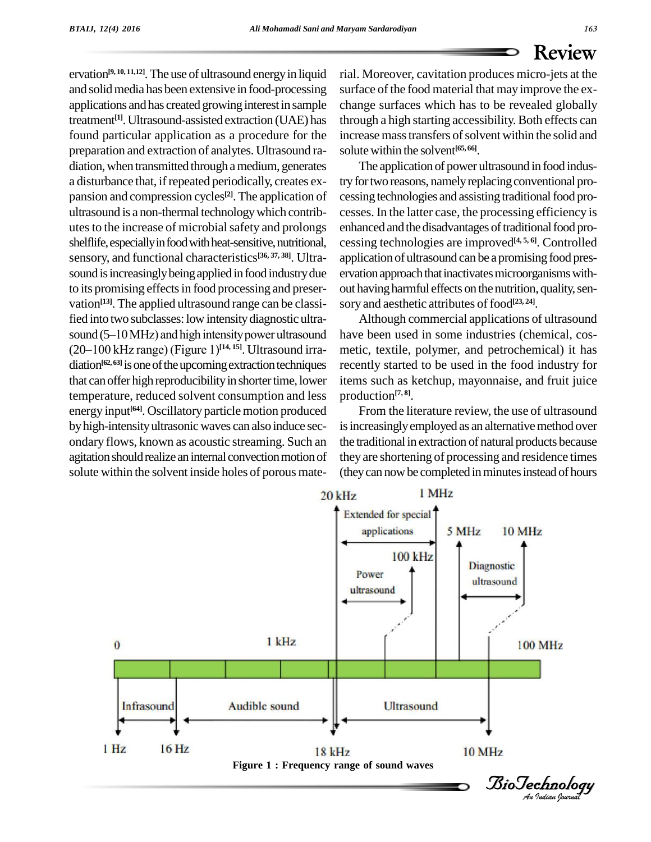ervation<sup>98</sup><sup>ht than</sub> and England and England and Intersect.cavitation probables microsistation denotes the conference of the food material that may improve the example change in The society. cavitation produces microsista</sup> **[9, 10, 11,12]**.The use of ultrasound energyin liquid and solid media has been extensive in food-processing applications andhas created growing interestin sample treatment<sup>[1]</sup>. Ultrasound-assisted extraction (UAE) has throu found particular application as a procedure for the preparation and extraction of analytes. Ultrasound radiation, when transmitted through a medium, generates a disturbance that, if repeated periodically, creates expansion and compression cycles<sup>[2]</sup>. The application of cessi ultrasound is a non-thermal technology which contributes to the increase of microbial safety and prolongs shelflife, especially in food with heat-sensitive, nutritional, sensory, and functional characteristics **[36, 37, 38]**. Ultra sound is increasingly being applied in food industry due to its promising effects in food processing and preservation<sup>[13]</sup>. The applied ultrasound range can be classi-<br>fied into two subclasses: low intensity diagnostic ultra-<br>sound (5–10 MHz) and high intensity power ultrasound have b fied into two subclasses: low intensitydiagnostic ultra fied into two subclasses: low intensity diagnostic ultra-<br>sound (5–10 MHz) and high intensity power ultrasound hav<br>(20–100 kHz range) (Figure 1)<sup>[14, 15]</sup>. Ultrasound irra- met diation<sup>[62, 63]</sup> is one of the upcoming extraction techniques recent that can offer high reproducibility in shorter time, lower temperature, reduced solvent consumption and less energy input **[64]**. Oscillatory particle motion produced byhigh-intensityultrasonic waves can also induce sec ondary flows, known as acoustic streaming. Such an agitation should realize an internal convection motion of solute within the solvent inside holes of porous mate-

rial. Moreover, cavitation produces micro-jets atthe surface of the food material that may improve the ex change surfaces which has to be revealed globally through a high starting accessibility. Both effects can increase mass transfers of solvent within the solid and solutewithin the solvent **[65, 66]**.

The application of power ultrasound in food industry for two reasons, namely replacing conventional processing technologies and assisting traditional food processes. In the latter case, the processing efficiency is enhanced and the disadvantages of traditional food processing technologies are improved **[4, 5, 6]**. Controlled application of ultrasound can be a promising food preservation approach that inactivates microorganisms without having harmful effects on the nutrition, quality, sensory and aesthetic attributes of food **[23, 24]**.

Although commercial applications of ultrasound have been used in some industries (chemical, cos metic, textile, polymer, and petrochemical) it has recently started to be used in the food industry for items such as ketchup, mayonnaise, and fruit juice production **[7, 8]**.

From the literature review, the use of ultrasound is increasingly employed as an alternative method over the traditional in extraction of natural products because they are shortening of processing and residence times (they can now be completed in minutes instead of hours

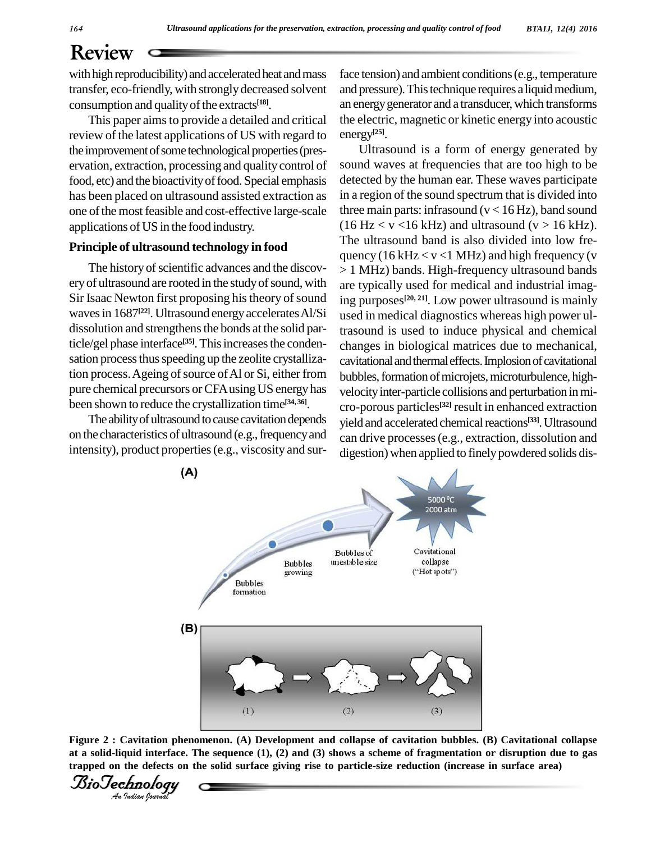transfer, eco-friendly, with stronglydecreased solvent consumption and qualityofthe extracts **[18]**.

This paper aimsto provide a detailed and critical review of the latest applications of US with regard to the improvement of some technological properties (preservation, extraction, processing and quality control of food, etc) and the bioactivity of food. Special emphasis has been placed on ultrasound assisted extraction as one of the most feasible and cost-effective large-scale applications of US in the food industry.

#### **Principle of ultrasound technology in food**

The history of scientific advances and the discovery of ultrasound are rooted in the study of sound, with Sir Isaac Newton first proposing his theory of sound waves in 1687<sup>[22]</sup>. Ultrasound energy accelerates Al/Si use dissolution and strengthens the bonds at the solid particle/gel phase interface<sup>[35]</sup>. This increases the conden-<br>cha sation process thus speeding up the zeolite crystallization process. Ageing of source of Al or Si, either from pure chemical precursors or CFA using US energy has been shown to reduce the crystallization time **[34, 36]**.

The ability of ultrasound to cause cavitation depends on the characteristics of ultrasound (e.g., frequency and intensity), product properties(e.g., viscosity and sur-

face tension) and ambient conditions(e.g., temperature and pressure). This technique requires a liquid medium, an energygenerator and a transducer,which transforms the electric, magnetic or kinetic energy into acoustic energy **[25]**.

Ultrasound is a form of energy generated by sound waves at frequencies that are too high to be detected by the human ear. These waves participate in a region of the sound spectrum that is divided into three main parts: infrasound ( $v < 16$  Hz), band sound  $(16 \text{ Hz} < v < 16 \text{ kHz})$  and ultrasound  $(v > 16 \text{ kHz})$ . The ultrasound band is also divided into low fre quency (16 kHz  $\lt v \lt 1$  MHz) and high frequency (v > 1 MHz) bands. High-frequency ultrasound bands are typically used for medical and industrial imaging purposes **[20, 21]**. Low power ultrasound is mainly used in medical diagnostics whereas high power ultrasound is used to induce physical and chemical changes in biological matrices due to mechanical, cavitational and thermal effects. Implosion of cavitational bubbles, formation of microjets, microturbulence, highvelocity inter-particle collisions and perturbation in micro-porous particles **[32]** result in enhanced extraction yield and accelerated chemical reactions<sup>[33]</sup>. Ultrasound can drive processes(e.g., extraction, dissolution and digestion) when applied to finelypowdered solids dis-



**Figure 2 : Cavitation phenomenon. (A) Development and collapse of cavitation bubbles. (B) Cavitational collapse** at a solid-liquid interface. The sequence  $(1)$ ,  $(2)$  and  $(3)$  shows a scheme of fragmentation or disruption due to gas trapped on the defects on the solid surface giving rise to particle-size reduction (increase in surface area)

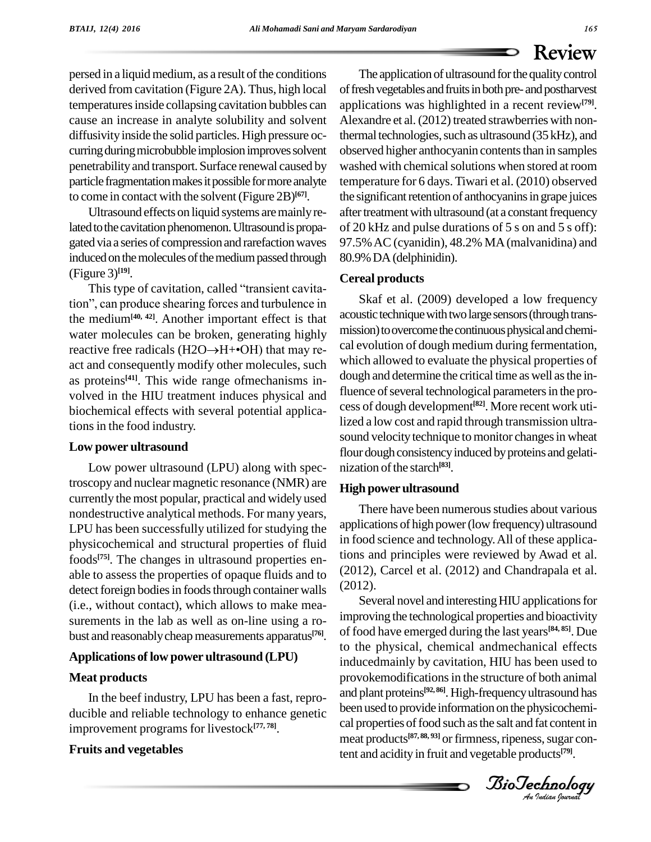derived fromcavitation (Figure 2A). Thus, high local temperatures inside collapsing cavitation bubbles can cause an increase in analyte solubility and solvent diffusivity inside the solid particles. High pressure occurring during microbubble implosion improves solvent penetrabilityand transport. Surface renewal caused by particle fragmentation makes it possible for more analyte to come in contact with the solvent(Figure 2B) **[67]**.

Ultrasound effects on liquid systems aremainlyrelated to the cavitation phenomenon. Ultrasound is propagated via a series of compression and rarefaction waves induced on the molecules of the medium passed through 80.9%<br>
(Figure 3)<sup>[19]</sup>. Cereal<br>
This type of cavitation, called "transient cavita-(Figure 3) **[19]**.

This type of cavitation, called "transient cavitation", can produce shearing forces and turbulence in the medium<sup>[40, 42]</sup>. Another important effect is that  $\frac{\text{acou}}{\text{water}}$  must water molecules can be broken, generating highly miss reactive free radicals (H2O $\rightarrow$ H+ $\bullet$ OH) that may rewater molecules can be broken, generating highly act and consequently modify other molecules, such as proteins<sup>[41]</sup>. This wide range of mechanisms involved in the HIU treatment induces physical and biochemical effects with several potential applications in the food industry.

#### **Low power ultrasound**

Low power ultrasound (LPU) along with spectroscopy and nuclear magnetic resonance (NMR) are currently the most popular, practical and widely used nondestructive analytical methods. For many years, LPU has been successfully utilized for studying the physicochemical and structural properties of fluid foods **[75]**. The changes in ultrasound properties en able to assess the properties of opaque fluids and to detect foreign bodies in foods through container walls (i.e., without contact), which allows to make mea surements in the lab as well as on-line using a ro bust and reasonably cheap measurements apparatus<sup>[76]</sup>. OI

#### **Applications of low power ultrasound (LPU)**

#### **Meat products**

In the beef industry, LPU has been a fast, repro ducible and reliable technology to enhance genetic improvement programsfor livestock **[77, 78]**.

#### **Fruits and vegetables**

presed in a liquid neultime, as a result of the conditions.<br>
The high boost infrastration of distinguistic interactions of the results of the results of the results of the conditions of the results of the results of the r The application of ultrasound for the quality control of fresh vegetables and fruits in both pre- and postharvest applications was highlighted in a recent review**[79]**. Alexandre et al. (2012) treated strawberries with nonthermal technologies, such as ultrasound  $(35$  kHz), and observed higher anthocyanin contents than in samples washed with chemical solutions when stored at room temperature for 6 days. Tiwari et al. (2010) observed the significant retention of anthocyanins in grape juices after treatment with ultrasound (at a constant frequency of 20 kHz and pulse durations of 5 s on and 5 s off): 97.5%AC (cyanidin), 48.2% MA(malvanidina) and 80.9%DA(delphinidin).

#### **Cereal products**

Skaf et al. (2009) developed a low frequency acoustic technique with two large sensors (through transmission) to overcome the continuous physical and chemical evolution of dough medium during fermentation, which allowed to evaluate the physical properties of dough and determine the critical time as well as the influence of several technological parameters in the process of dough development **[82]**. More recent work utilized a low cost and rapid through transmission ultra sound velocity technique to monitor changes in wheat flour dough consistency induced by proteins and gelatinization of the starch<sup>[83]</sup>.

#### **High powerultrasound**

There have been numerous studies about various applications of high power (low frequency) ultrasound in food science and technology.All of these applications and principles were reviewed by Awad et al. (2012), Carcel et al. (2012) and Chandrapala et al. (2012).

inducedmainly by cavitation, HIU has been used to<br>provekamedifications in the structure of both onimal been used to provide information on the physicochemi-Several novel and interesting HIU applications for improving the technological properties and bioactivity of food have emerged during the last years **[84, 85]**. Due to the physical, chemical andmechanical effects provokemodifications in the structure of both animal and plant proteins **[92, 86]**.High-frequencyultrasound has cal properties of food such as the salt and fat content in meat products<sup>[87, 88, 93]</sup> or firmness, ripeness, sugar content and acidity in fruit and vegetable products **[79]**.

*Indian Journal*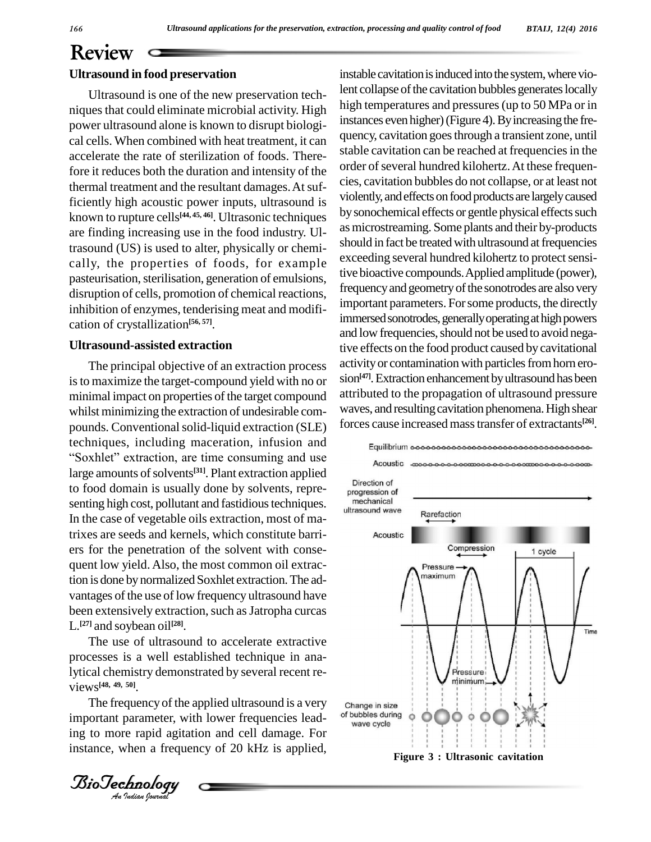Ultrasound is one of the new preservation tech niques that could eliminate microbial activity. High power ultrasound alone is known to disrupt biologi cal cells. When combined with heat treatment, it can accelerate the rate of sterilization of foods. Therefore it reduces both the duration and intensity of the thermal treatment and the resultant damages. At sufficiently high acoustic power inputs, ultrasound is known to rupture cells **[44, 45, 46]**. Ultrasonic techniques are finding increasing use in the food industry. Ultrasound (US) is used to alter, physically or chemi cally, the properties of foods, for example pasteurisation, sterilisation, generation of emulsions, disruption of cells, promotion of chemical reactions, inhibition of enzymes, tenderising meat and modifi cation of crystallization **[56, 57]**.

#### **Ultrasound-assisted extraction**

**Ultrasound in food preservation**<br>
Ultrasound is one of the new preservation<br>
inques that could eliminate microbial activity<br>
prower ultrasound alone is known to disrupt<br>
prower ultrasound alone is known to disrupt<br>
cal c The principal objective of an extraction process isto maximize the target-compound yield with no or minimal impact on properties of the target compound whilst minimizing the extraction of undesirable com pounds. Conventional solid-liquid extraction (SLE) forces<br>techniques, including maceration, infusion and<br>"Soxhlet" extraction, are time consuming and use techniques, including maceration, infusion and<br>
Equilibrium **ococococococococo** large amounts of solvents<sup>[31]</sup>. Plant extraction applied to food domain is usually done by solvents, repre-<br>sonting high cost, pollutent and festidious tooppiques senting high cost, pollutant and fastidious techniques. The entanical ultrasound wave In the case of vegetable oils extraction, most of matrixes are seeds and kernels, which constitute barri ers for the penetration of the solvent with consequent low yield. Also, the most common oil extraction is done by normalized Soxhlet extraction. The advantages of the use of low frequency ultrasound have been extensively extraction, such as Jatropha curcas L. **[27]** and soybean oil **[28]**.

processes is a well established technique in ana-<br>lytical chemistry demonstrated by several recent re-The use of ultrasound to accelerate extractive processes is a well established technique in anaviews **[48, 49, 50]**.

The frequency of the applied ultrasound is a very change important parameter, with lower frequencies leading to more rapid agitation and cell damage. For instance, when a frequency of 20 kHz is applied,

instable cavitation is induced into the system, where violent collapse of the cavitation bubbles generates locally high temperatures and pressures (up to 50 MPa or in instances even higher) (Figure 4). By increasing the frequency, cavitation goesthrough a transient zone, until stable cavitation can be reached at frequencies in the order of several hundred kilohertz. At these frequencies, cavitation bubbles do not collapse, or at least not violently, and effects on food products are largely caused by sonochemical effects or gentle physical effects such asmicrostreaming. Some plants and their by-products should in fact be treated with ultrasound at frequencies exceeding several hundred kilohertz to protect sensitive bioactive compounds.Applied amplitude (power), frequency and geometry of the sonotrodes are also very important parameters. Forsome products, the directly immersed sonotrodes, generally operating at high powers and low frequencies, should not be used to avoid negative effects on the food product caused bycavitational activity or contamination with particles from horn erosion<sup>[47]</sup>. Extraction enhancement by ultrasound has been attributed to the propagation of ultrasound pressure waves, and resulting cavitation phenomena. High shear forces cause increasedmasstransfer of extractants **[26]**.



*Indian Journal*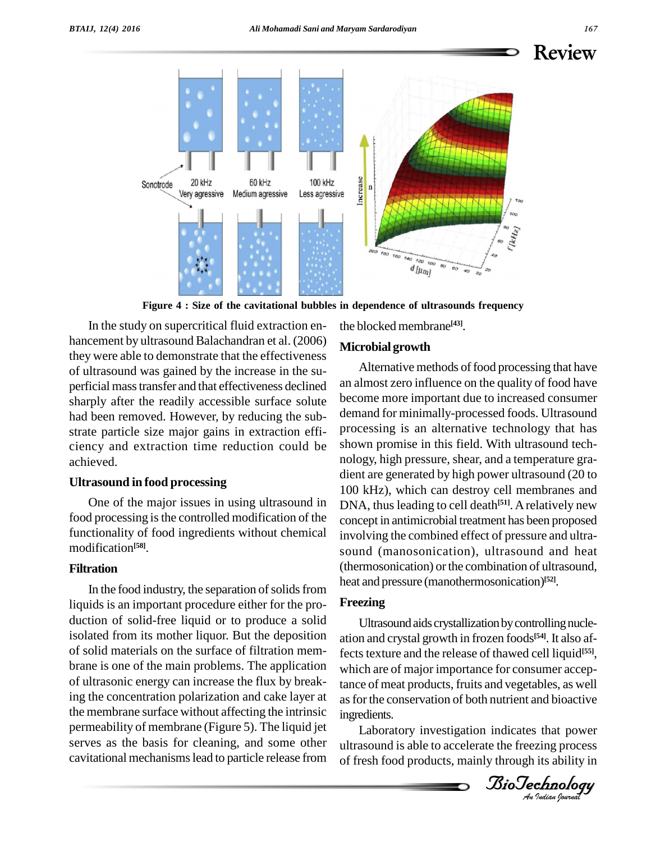

**Figure 4 : Size of the cavitational bubbles in dependence of ultrasounds frequency**

they were able to demonstrate that the effectiveness of ultrasound was gained by the increase in the su perficial masstransfer and that effectiveness declined sharply after the readily accessible surface solute had been removed. However, by reducing the sub strate particle size major gains in extraction effi ciency and extraction time reduction could be achieved.

#### **Ultrasound in food processing**

One of the major issues in using ultrasound in food processing is the controlled modification of the functionality of food ingredients without chemical modification **[58]**.

#### **Filtration**

In the food industry, the separation of solids from liquids is an important procedure either for the pro duction of solid-free liquid or to produce a solid isolated from its mother liquor. But the deposition of solid materials on the surface of filtration mem brane is one of the main problems. The application of ultrasonic energy can increase the flux by breaking the concentration polarization and cake layer at the membrane surface without affecting the intrinsic permeability of membrane (Figure 5). The liquid jet serves as the basis for cleaning, and some other cavitational mechanismslead to particle release from the blocked membrane **[43]**.

#### **Microbial growth**

In the study on supercritical fluid extraction en-<br>
the blocked membrane<sup>459</sup>,<br>
they were able to demonstrate that the effectiveness<br>
of ultrasound was gained by the increase in the su-<br>
2006) **Microbial growth**<br>
of ultra Alternative methods of food processing that have an almost zero influence on the quality of food have become more important due to increased consumer demand for minimally-processed foods. Ultrasound processing is an alternative technology that has shown promise in this field. With ultrasound tech nology, high pressure, shear, and a temperature gra dient are generated by high power ultrasound (20 to 100 kHz), which can destroy cell membranes and DNA, thus leading to cell death<sup>[51]</sup>. A relatively new concept in antimicrobial treatment has been proposed involving the combined effect of pressure and ultra sound (manosonication), ultrasound and heat (thermosonication) or the combination of ultrasound, heat and pressure (manothermosonication) **[52]**.

#### **Freezing**

ects texture and the release of thawed centrality. as for the conservation of both nutrient and bioactive Ultrasound aids crystallization by controlling nucleation and crystal growth in frozen foods **[54]**. It also affects texture and the release of thawed cell liquid<sup>[55]</sup>, tance of meat products, fruits and vegetables, as well ingredients.

Laboratory investigation indicates that power ultrasound is able to accelerate the freezing process of fresh food products, mainly through its ability in

*Indian Journal*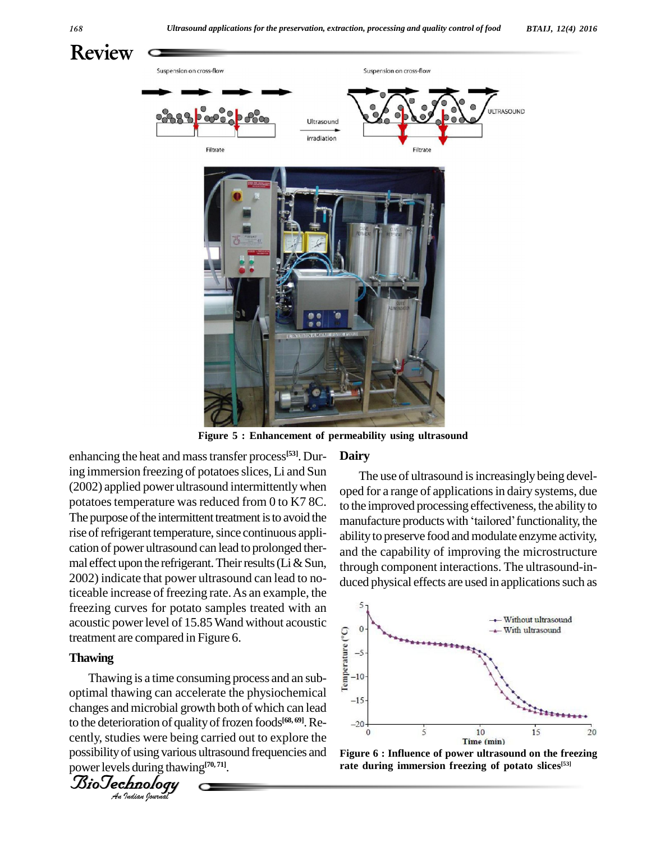

**Figure 5 : Enhancement of permeability using ultrasound**

enhancing the heat and mass transfer process<sup>[53]</sup>. Dur<br>ing immersion freezing of potatoes slices, Li and Sure<br>(2002) applied power ultrasound intermittently when<br>potatoes temperature was reduced from 0 to K7 8C<br>The purpos enhancing the heat and mass transfer process<sup>[53]</sup>. During immersion freezing of potatoes slices, Li and Sun (2002) applied power ultrasound intermittentlywhen potatoes temperature was reduced from 0 to K7 8C. The purpose of the intermittent treatment is to avoid the manufacture products with 'tailored' functionality, the rise of refrigerant temperature, since continuous application of power ultrasound can lead to prolonged ther mal effect upon the refrigerant. Their results (Li  $&$  Sun, 2002) indicate that power ultrasound can lead to noticeable increase of freezing rate.As an example, the freezing curves for potato samples treated with an acoustic power level of 15.85 Wand without acoustic<br>treatment are compared in Figure 6.<br>Thawing<br>Thawing is a time consuming process and an subtreatment are compared in Figure 6.

## **Thawing**<br>The Contract of Contract of Contract of Contract of Contract of Contract of Contract of Contract of Contract of Contract of Contract of Contract of Contract of Contract of Contract of Contract of Contract of Cont

changes and microbial growth both of which can lead *I* definition of quantition of quantity of using varior of using that the substantial point of the substantial behavior and the function of the function of the function of the function of the function of the function of t Thawing is a time consuming process and an sub- $\frac{2}{5}$ -10 optimal thawing can accelerate the physiochemical  $F_{-15}$ to the deterioration of qualityoffrozen foods **[68, 69]**.Re cently, studies were being carried out to explore the possibilityof using various ultrasound frequencies and powerlevels during thawing **[70, 71]**.



#### **Dairy**

The use of ultrasound is increasingly being developed for a range of applications in dairy systems, due<br>to the improved processing effectiveness, the ability to<br>manufacture products with 'tailored' functionality, the to the improved processing effectiveness, the abilityto ability to preserve food and modulate enzyme activity, and the capability of improving the microstructure through component interactions. The ultrasound-in duced physical effects are used in applications such as



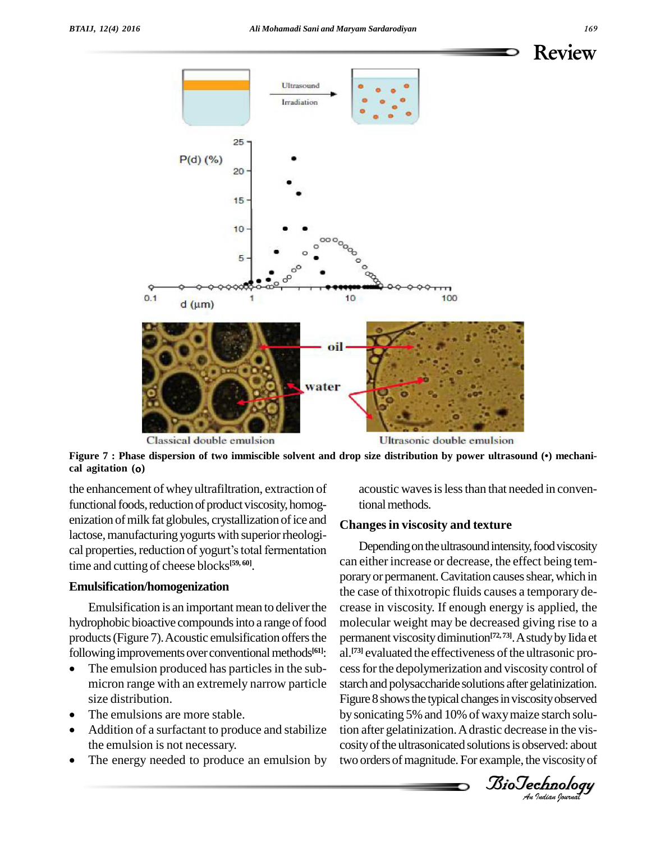

the enhancement of whey ultrafiltration, extraction of functional foods, reduction of product viscosity, homogenization of milk fat globules, crystallization of ice and lactose, manufacturing yogurts with superior rheological properties, reduction of yogurt's total fermentation time and cutting of cheese blocks **[59, 60]**.

#### **Emulsification/homogenization**

Emulsification is an important mean to deliver the hydrophobic bioactive compounds into a range of food products (Figure 7). Acoustic emulsification offers the perma<br>following improvements over conventional methods<sup>[61]</sup>: al.<sup>[73]</sup> following improvements over conventional methods $[61]$ :

- The emulsion produced has particles in the submicron range with an extremely narrow particle size distribution. size distribution.<br>The emulsions are more stable.
- 
- Addition of a surfactant to produce and stabilize tion a the emulsion is not necessary. cosity
- The energy needed to produce an emulsion by

acoustic waves is less than that needed in conventional methods.

#### **Changesin viscosity and texture**

a. Contained the effectiveness of the untasome process for the depolymerization and viscosity control of *An*by sonicating 5%and 10% of waxymaize starch solu-Classical double emulsion<br>
Eigure 7 : Phase dispersion of two immiscible solvent and drop size distribution by power ultrasound (•) mechani-<br>
eal agitation (o)<br>
the enhancement of whey ultrafilltration, extraction of<br>
the Depending on the ultrasound intensity, food viscosity can either increase or decrease, the effect being tem porary or permanent. Cavitation causes shear, which in the case of thixotropic fluids causes a temporary de crease in viscosity. If enough energy is applied, the molecular weight may be decreased giving rise to a permanent viscositydiminution **[72, 73]**.AstudybyIida et al.<sup>[73]</sup> evaluated the effectiveness of the ultrasonic prostarch and polysaccharide solutions after gelatinization. Figure 8 shows the typical changes in viscosity observed tion after gelatinization.Adrastic decrease in the vis cosity of the ultrasonicated solutions is observed: about two orders of magnitude. For example, the viscosity of

*Indian Journal*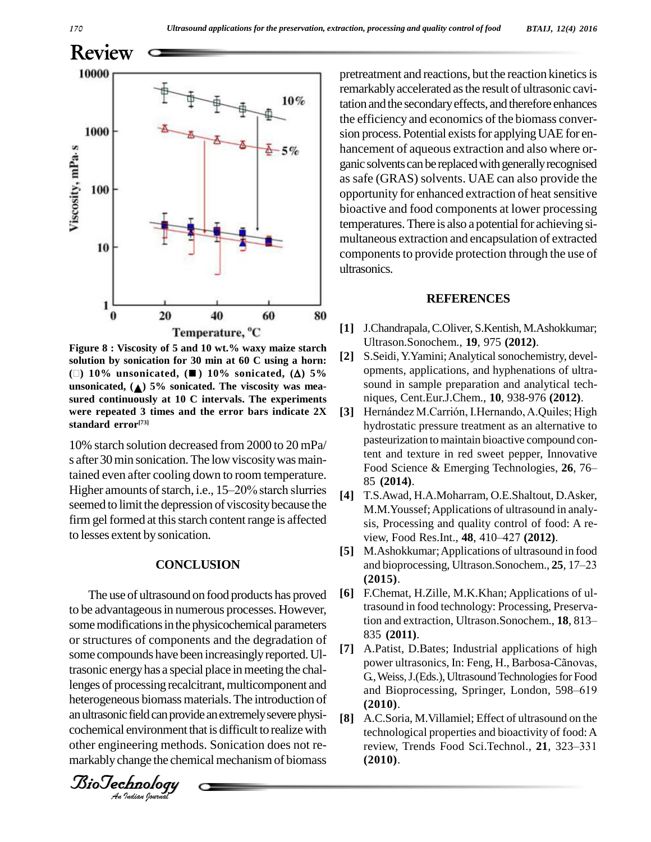

**Figure 8 : Viscosity of 5 and 10 wt.% waxy maize starch solution by sonication for 30 min at 60 C using a horn: () 10% unsonicated, ( ) 10% sonicated, () 5% unsonicated, ( ) 5% sonicated. The viscosity was mea sured continuously at10 C intervals. The experiments were repeated 3 times and the error bars indicate 2X standard error [73]**

10% starch solution decreased from 2000 to 20 mPa/<br>
s after 30 min sonication. The low viscosity was main-<br>
tained even after cooling down to room temperature.<br>
Higher amounts of starch, i.e., 15–20% starch slurries<br>
seem s after 30 min sonication. The low viscosity was maintained even after cooling down to room temperature. s after 30 min sonication. The low viscosity was maintained even after cooling down to room temperature.<br>Higher amounts of starch, i.e., 15–20% starch slurries seemed to limit the depression of viscosity because the firm gel formed at this starch content range is affected to lesses extent by sonication.

#### **CONCLUSION**

some compounds nave been increasingly reported. UI-<br>trasonic energy has a special place in meeting the chal-*An*heterogeneous biomass materials.The introduction of The use of ultrasound on food products has proved [6] to be advantageous in numerous processes. However, some modifications in the physicochemical parameters tion and extraction, Ultrason.Sonochem., 18, 813– or structures of components and the degradation of<br>some compounds have been increasingly reported  $\text{H}$  [7] some compounds have been increasingly reported. Ullenges of processing recalcitrant, multicomponent and an ultrasonic field can provide an extremely severe physi- $[8]$ cochemical environment that is difficult to realize with other engineering methods. Sonication does not re markably change the chemical mechanism of biomass

*Indian Journal*

pretreatment and reactions, but the reaction kinetics is remarkablyaccelerated asthe result of ultrasonic cavitation and the secondary effects, and therefore enhances the efficiency and economics of the biomass conver sion process. Potential exists for applying UAE for enhancement of aqueous extraction and also where or ganic solvents can be replaced with generally recognised as safe (GRAS) solvents. UAE can also provide the opportunity for enhanced extraction of heat sensitive bioactive and food components at lower processing temperatures. There is also a potential for achieving simultaneous extraction and encapsulation of extracted components to provide protection through the use of ultrasonics.

#### **REFERENCES**

- **[1]** J.Chandrapala,C.Oliver, S.Kentish,M.Ashokkumar; Ultrason.Sonochem., **19**, 975 **(2012)**.
- **[2]** S.Seidi,Y.Yamini;Analyticalsonochemistry, devel opments, applications, and hyphenations of ultra sound in sample preparation and analytical tech-<br> **[3]** Hernández M.Carrión, I.Hernando, A.Quiles; High niques, Cent.Eur.J.Chem., **10**, 938-976 **(2012)**.
- hydrostatic pressure treatment as an alternative to pasteurization to maintain bioactive compound content and texture in red sweet pepper, Innovative Food Science & Emerging Technologies, 26, 76– 85 **(2014)**.
- **[4]** T.S.Awad, H.A.Moharram, O.E.Shaltout, D.Asker, M.M.Youssef;Applications of ultrasound in analy sis, Processing and quality control of food: A re- M.M.Youssef; Applications of ultrasound in an<br>sis, Processing and quality control of food: A<br>view, Food Res.Int., **48**, 410–427 (2012).
- **[5]** M.Ashokkumar;Applications of ultrasound in food view, Food Res.Int., **48**, 410–427 (**2012**).<br>M.Ashokkumar; Applications of ultrasound in food<br>and bioprocessing, Ultrason.Sonochem., **25**, 17–23 **(2015)**.
- **[6]** F.Chemat, H.Zille, M.K.Khan; Applications of ultrasound in food technology: Processing, Preserva-F.Chemat, H.Zille, M.K.Khan; Applications of ul-<br>trasound in food technology: Processing, Preserva-<br>tion and extraction, Ultrason.Sonochem., **18**, 813– 835 **(2011)**.
- **[7]** A.Patist, D.Bates; Industrial applications of high 835 (**2011**).<br>A.Patist, D.Bates; Industrial applications of high<br>power ultrasonics, In: Feng, H., Barbosa-Cãnovas, G.,Weiss,J.(Eds.),UltrasoundTechnologiesfor Food power ultrasonics, In: Feng, H., Barbosa-Cãnovas, G., Weiss, J.(Eds.), Ultrasound Technologies for Food<br>and Bioprocessing, Springer, London, 598–619 **(2010)**.
- **[8]** A.C.Soria, M.Villamiel; Effect of ultrasound on the technological properties and bioactivity of food: A review, Trends Food Sci.Technol., **21**, 323–331 technological properties and bioactivity of food:A **(2010)**.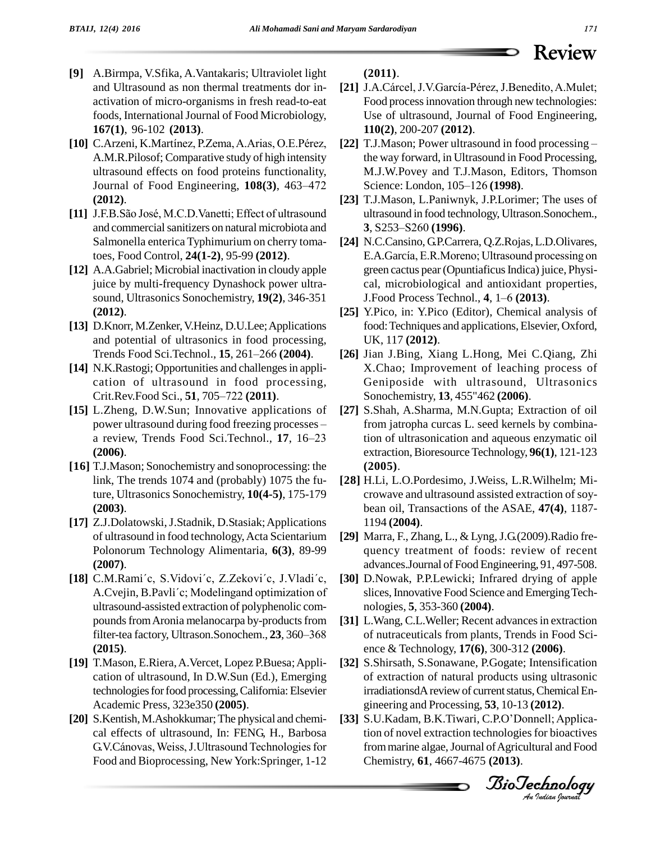- and Ultrasound as non thermal treatments dor in activation of micro-organisms in fresh read-to-eat foods, International Journal of Food Microbiology, **167(1)**, 96-102 **(2013)**.
- [10] C.Arzeni, K.Martínez, P.Zema, A.Arias, O.E.Pérez, A.M.R.Pilosof; Comparative study of high intensity<br>
ultrasound effects on food proteins functionality,<br>
Journal of Food Engineering, **108(3)**, 463–472 S ultrasound effects on food proteins functionality, **(2012)**. Journal of Food Engineering, **108(3)**, 463–472 Science: London, 105–126 (**1998**).<br> **[23]** T.J.Mason, L.Paniwnyk, J.P.Lorin [11] J.F.B.São José, M.C.D.Vanetti; Effect of ultrasound ultrasound in food technology, Ultra
- and commercial sanitizers on natural microbiota and 3, S253–S260 (1996). Salmonella enterica Typhimurium on cherry tomatoes, Food Control, **24(1-2)**, 95-99 **(2012)**.
- **[12]** A.A.Gabriel; Microbial inactivation in cloudy apple juice by multi-frequency Dynashock power ultra sound, Ultrasonics Sonochemistry, **19(2)**, 346-351 **(2012)**.
- [13] D.Knorr, M.Zenker, V.Heinz, D.U.Lee; Applications<br>and potential of ultrasonics in food processing,<br>Trends Food Sci.Technol., **15**, 261–266 (**2004**). [26] and potential of ultrasonics in food processing,
- **[14]** N.K.Rastogi; Opportunities and challenges in application of ultrasound in food processing, Crit.Rev.Food Sci., **51**, 705–722 (2011). cation of ultrasound in food processing,
- **[15]** L.Zheng, D.W.Sun; Innovative applications of Crit.Rev.Food Sci., **51**, 705–722 (2011). S<br>L.Zheng, D.W.Sun; Innovative applications of [27] S<br>power ultrasound during food freezing processes – fi power ultrasound during food freezing processes –<br>a review, Trends Food Sci.Technol., 17, 16–23 **(2006)**.
- **[16]** T.J.Mason; Sonochemistry and sonoprocessing: the link, The trends 1074 and (probably) 1075 the future, Ultrasonics Sonochemistry, **10(4-5)**, 175-179 **(2003)**.
- [17] Z.J.Dolatowski, J.Stadnik, D.Stasiak; Applications of ultrasound in food technology,Acta Scientarium Polonorum Technology Alimentaria, **6(3)**, 89-99 **(2007)**.
- **[9]** A.Birma, V.Sfika, A.Vantakaris; Ultraviolet light<br>
(2011). A.Ginech (2011). The continue organization in treath resolution of the continue organization in the continue organization in the continue organization in th [18] C.M.Rami'c, S.Vidovi'c, Z.Zekovi'c, J.Vladi'c, A.Cvejin, B.Pavli'c; Modelingand optimization of ultrasound-assisted extraction of polyphenolic com-<br>pounds from Aronia melanocarpa by-products from [31] L<br>filter-tea factory, Ultrason.Sonochem., 23, 360–368 o pounds from Aronia melanocarpa by-products from **(2015)**.
- **[19]** T.Mason, E.Riera,A.Vercet, Lopez P.Buesa;Appli cation of ultrasound, In D.W.Sun (Ed.), Emerging technologies for food processing, California: Elsevier Academic Press, 323e350 **(2005)**.
- [20] S.Kentish, M.Ashokkumar; The physical and chemical effects of ultrasound, In: FENG, H., Barbosa<br>G.V.Cánovas, Weiss, J.Ultrasound Technologies for cal effects of ultrasound, In: FENG, H., Barbosa Food and Bioprocessing, New York:Springer, 1-12

**(2011)**.

- [21] J.A.Cárcel, J.V.García-Pérez, J.Benedito, A.Mulet; Food processinnovation through new technologies: Use of ultrasound, Journal of Food Engineering, **110(2)**, 200-207 **(2012)**.
- [22] T.J.Mason; Power ultrasound in food processing the way forward, in Ultrasound in Food Processing,<br>M.J.W.Povey and T.J.Mason, Editors, Thomson<br>Science: London, 105–126 (**1998**). M.J.W.Povey and T.J.Mason, Editors, Thomson
- [23] T.J.Mason, L.Paniwnyk, J.P.Lorimer; The uses of ultrasound in food technology, Ultrason.Sonochem., 3, S253–S260 (1996). ultrasound in food technology, Ultrason.Sonochem.,
- [24] N.C.Cansino, G.P.Carrera, Q.Z.Rojas, L.D.Olivares, E.A.GarcÌa, E.R.Moreno; Ultrasound processing on green cactus pear (Opuntiaficus Indica) juice, Physi-<br>cal, microbiological and antioxidant properties,<br>J.Food Process Technol., **4**, 1–6 (**2013**). cal, microbiological and antioxidant properties,
- **[25]** Y.Pico, in: Y.Pico (Editor), Chemical analysis of food: Techniques and applications, Elsevier, Oxford, UK, 117 **(2012)**.
- **[26]** Jian J.Bing, Xiang L.Hong, Mei C.Qiang, Zhi X.Chao; Improvement of leaching process of Geniposide with ultrasound, Ultrasonics Sonochemistry, **13**, 455"462 **(2006)**.
- **[27]** S.Shah, A.Sharma, M.N.Gupta; Extraction of oil from jatropha curcas L. seed kernels by combination of ultrasonication and aqueous enzymatic oil extraction,Bioresource Technology, **96(1)**, 121-123 **(2005)**.
- **[28]** H.Li, L.O.Pordesimo, J.Weiss, L.R.Wilhelm; Mi crowave and ultrasound assisted extraction of soy bean oil, Transactions of the ASAE, **47(4)**, 1187- 1194 **(2004)**.
- [29] Marra, F., Zhang, L., & Lyng, J.G.(2009).Radio frequency treatment of foods: review of recent advances.Journal of Food Engineering, 91, 497-508.
- **[30]** D.Nowak, P.P.Lewicki; Infrared drying of apple slices, Innovative Food Science and Emerging Technologies, **5**, 353-360 **(2004)**.
- [31] L.Wang, C.L.Weller; Recent advances in extraction of nutraceuticals from plants, Trends in Food Sci ence & Technology, **17(6)**, 300-312 **(2006)**.
- [32] S.Shirsath, S.Sonawane, P.Gogate; Intensification<br>of extraction of natural products using ultrasonic *An*gineering and Processing, **53**, 10-13 **(2012)**. of extraction of natural products using ultrasonic irradiationsdA review of current status, Chemical En-
- [33] S.U.Kadam, B.K.Tiwari, C.P.O'Donnell; Application of novel extraction technologies for bioactives from marine algae, Journal of Agricultural and Food Chemistry, **61**, 4667-4675 **(2013)**.

*Indian Journal*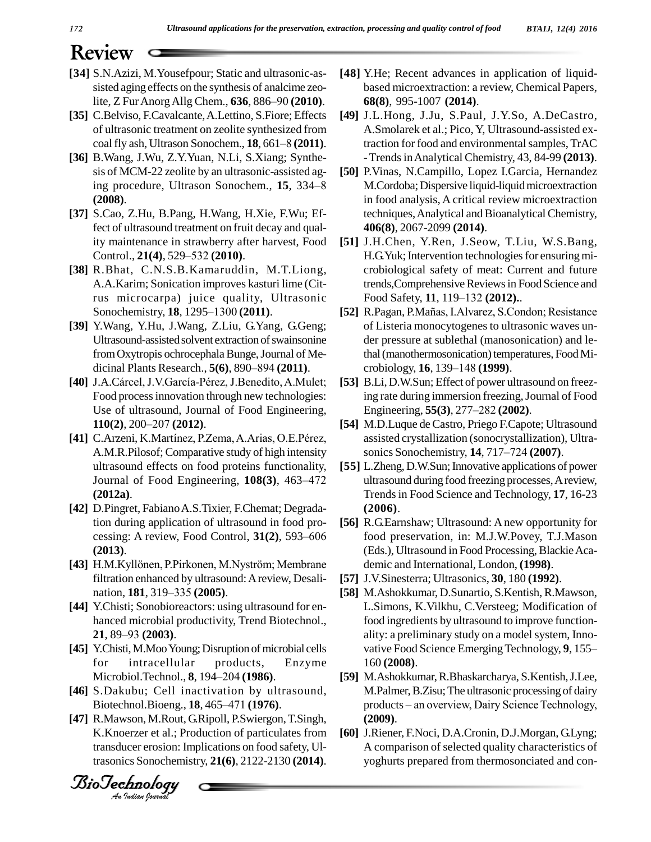- [34] S.N.Azizi, M.Yousefpour; Static and ultrasonic-assisted aging effects on the synthesis of analcime zeo-<br>lite, Z Fur Anorg Allg Chem., **636**, 886–90 (2010).
- [35] C.Belviso, F.Cavalcante, A.Lettino, S.Fiore; Effects [49] of ultrasonic treatment on zeolite synthesized from coal fly ash, Ultrason Sonochem., **18**, 661–8 (2011). of ultrasonic treatment on zeolite synthesized from
- **[36]** B.Wang, J.Wu, Z.Y.Yuan, N.Li, S.Xiang; Synthe sis of MCM-22 zeolite by an ultrasonic-assisted aging procedure, Ultrason Sonochem., 15, 334-8 **(2008)**.
- **[37]** S.Cao, Z.Hu, B.Pang, H.Wang, H.Xie, F.Wu; Effect of ultrasound treatment on fruit decay and quality maintenance in strawberry after harvest, Food [ ity maintenance in strawberry after harvest, Food
- **[38]** R.Bhat, C.N.S.B.Kamaruddin, M.T.Liong, A.A.Karim; Sonication improves kasturi lime (Citrus microcarpa) juice quality, Ultrasonic A.A.Karim; Sonication improves kasturi lin<br>
rus microcarpa) juice quality, Ultra<br>
Sonochemistry, **18**, 1295–1300 (2011).
- **[39]** Y.Wang, Y.Hu, J.Wang, Z.Liu, G.Yang, G.Geng; Ultrasound-assisted solvent extraction of swainsonine from Oxytropis ochrocephala Bunge, Journal of Medicinal Plants Research., **5(6)**, 890–894 **(2011)**.
- [40] J.A.Cárcel, J.V.García-Pérez, J.Benedito, A.Mulet; Food process innovation through new technologies:<br>Use of ultrasound, Journal of Food Engineering,<br>**110(2)**, 200–207 **(2012)**. Use of ultrasound, Journal of Food Engineering,
- [48] S.N.Azizi, M.Yousefpour; Static and ultrasonic-as-<br>isted aging effects on the synthesis of analcime zeo-<br>lite, Z Fur Anorg Allg Chem., **636**, 886–90 (2010).<br>
[35] C.Belviso, F.Cavalcane, A.Letino, S. Fiore: Effects [4 **110(2)**, 200–207 **(2012)**.<br>**[41]** C.Arzeni, K.Martínez, P.Zema, A.Arias, O.E.Pérez, A.M.R.Pilosof; Comparative study of high intensity sonics Sonochemistry, 14, 717–724 (2007). ultrasound effects on food proteins functionality, [5] A.M.R.Pilosof; Comparative study of high intensity<br>ultrasound effects on food proteins functionality, [55] L<br>Journal of Food Engineering, **108(3)**, 463–472 u **(2012a)**.
- **[42]** D.Pingret, FabianoA.S.Tixier, F.Chemat; Degradation during application of ultrasound in food pro cessing: A review, Food Control, 31(2), 593–606 **(2013)**.
- [43] H.M.Kyllönen, P.Pirkonen, M.Nyström; Membrane filtration enhanced by ultrasound: A review, Desali- [57] H.M.Kyllönen, P.Pirkonen, M.Nys<br>filtration enhanced by ultrasound:<br>nation, **181**, 319–335 (**2005**).
- [44] Y.Chisti; Sonobioreactors: using ultrasound for en-<br>hanced microbial productivity, Trend Biotechnol.,<br>21, 89–93 (2003). hanced microbial productivity, Trend Biotechnol.,
- for intracellular products, Enzyme **[45]** Y.Chisti, M.Moo Young; Disruption of microbial cells<br>for intracellular products, Enzyme<br>Microbiol.Technol., **8**, 194–204 **(1986**). **[59]**
- Biotechnol.Bioeng., 18, 465–471 (1976). **[46]** S.Dakubu; Cell inactivation by ultrasound, Microbiol.Technol., **8**, 194–204 (**1986**).<br>S.Dakubu; Cell inactivation by ultraso<br>Biotechnol.Bioeng., **18**, 465–471 (**1976**).
- **[47]** R.Mawson, M.Rout, G.Ripoll, P.Swiergon,T.Singh, K.Knoerzer et al.; Production of particulates from transducer erosion: Implications on food safety, Ultrasonics Sonochemistry, **21(6)**, 2122-2130 **(2014)**.

*Indian Journal*

- [48] Y.He; Recent advances in application of liquidbased microextraction: a review, Chemical Papers, **68(8)**, 995-1007 **(2014)**.
- **[49]** J.L.Hong, J.Ju, S.Paul, J.Y.So, A.DeCastro, A.Smolarek et al.; Pico, Y, Ultrasound-assisted extraction for food and environmental samples, TrAC -TrendsinAnalytical Chemistry, 43, 84-99 **(2013)**.
- **[50]** P.Vinas, N.Campillo, Lopez I.Garcia, Hernandez M.Cordoba; Dispersive liquid-liquid microextraction in food analysis, A critical review microextraction techniques,Analytical and Bioanalytical Chemistry, **406(8)**, 2067-2099 **(2014)**.
- **[51]** J.H.Chen, Y.Ren, J.Seow, T.Liu, W.S.Bang, H.G.Yuk; Intervention technologies for ensuring microbiological safety of meat: Current and future<br>trends,Comprehensive Reviews in Food Science and<br>Food Safety, **11**, 119–132 (**2012**).. trends, Comprehensive Reviews in Food Science and
- Food Safety, **11**, 119–132 (**2012**).<br>[52] R.Pagan, P.Mañas, I.Alvarez, S.Condon; Resistance of Listeria monocytogenes to ultrasonic waves un der pressure at sublethal (manosonication) and le-<br>thal (manothermosonication) temperatures, Food Mi-<br>crobiology, **16**, 139–148 **(1999**). thal (manothermosonication) temperatures, Food Mi-
- **[53]** B.Li, D.W.Sun; Effect of power ultrasound on freezing rate during immersion freezing, Journal of Food B.Li, D.W.Sun; Effect of power ultrasound<br>ing rate during immersion freezing, Journa<br>Engineering, **55(3**), 277–282 (**2002**).
- [54] M.D.Luque de Castro, Priego F.Capote; Ultrasound assisted crystallization (sonocrystallization), Ultra- M.D.Luque de Castro, Priego F.Capote; Ultrasou<br>assisted crystallization (sonocrystallization), Ult<br>sonics Sonochemistry, **14**, 717–724 (**2007**).
- [55] L.Zheng, D.W.Sun; Innovative applications of power ultrasound during food freezing processes,Areview, Trendsin Food Science and Technology, **17**, 16-23 **(2006)**.
- **[56]** R.G.Earnshaw; Ultrasound: A new opportunity for food preservation, in: M.J.W.Povey, T.J.Mason (Eds.), Ultrasound in Food Processing, Blackie Academic and International, London, **(1998)**.
- **[57]** J.V.Sinesterra; Ultrasonics, **30**, 180 **(1992)**.
- [58] M.Ashokkumar, D.Sunartio, S.Kentish, R.Mawson, L.Simons, K.Vilkhu, C.Versteeg; Modification of food ingredients by ultrasound to improve function ality: a preliminary study on a model system, Inno vative Food Science Emerging Technology, 9, 155– 160 **(2008)**.
- [59] M.Ashokkumar, R.Bhaskarcharya, S.Kentish, J.Lee,<br>M.Palmer, B.Zisu; The ultrasonic processing of dairy<br>products an overview, Dairy Science Technology, M.Palmer,B.Zisu;The ultrasonic processing of dairy **(2009)**.
- **[60]** J.Riener, F.Noci, D.A.Cronin, D.J.Morgan, G.Lyng; A comparison of selected quality characteristics of yoghurts prepared from thermosonciated and con-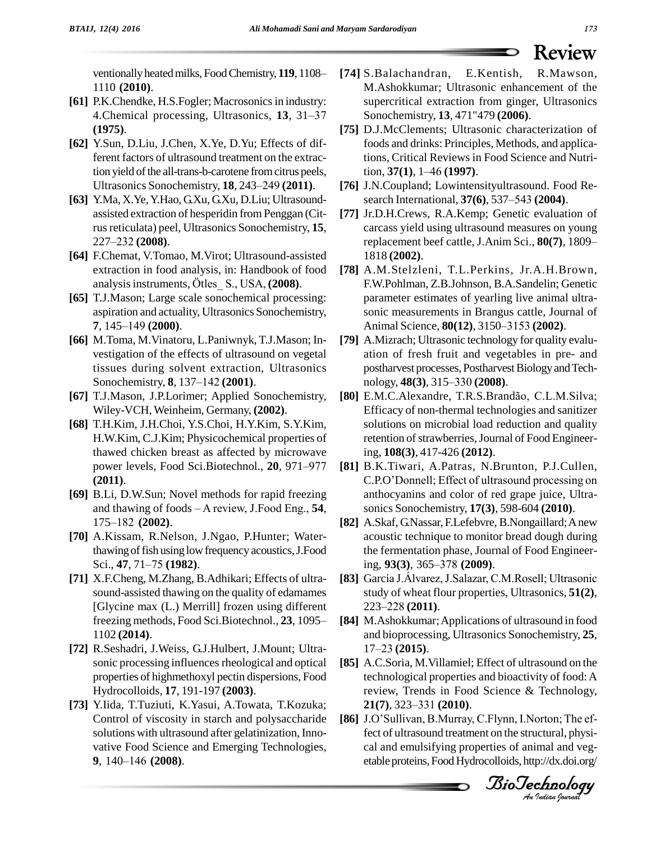1110 **(2010)**.

- **[61]** P.K.Chendke, H.S.Fogler; Macrosonicsin industry: A<br>P.K.Chendke, H.S.Fogler; Macrosonics in industry: ss<br>4.Chemical processing, Ultrasonics, 13, 31–37 S **(1975)**.
- **[62]** Y.Sun, D.Liu, J.Chen, X.Ye, D.Yu; Effects of different factors of ultrasound treatment on the extraction yield of the all-trans-b-carotene from citrus peels,<br>Ultrasonics Sonochemistry, **18**, 243–249 (**2011**). tion yield of the all-trans-b-carotene from citrus peels,
- **[63]** Y.Ma, X.Ye,Y.Hao, G.Xu, G.Xu, D.Liu; Ultrasound assisted extraction of hesperidin from Penggan (Citrus reticulata) peel, Ultrasonics Sonochemistry, 15, assisted extraction of l<br>rus reticulata) peel, U<br>227–232 (**2008**).
- **[64]** F.Chemat, V.Tomao, M.Virot; Ultrasound-assisted extraction in food analysis, in: Handbook of food **[78]** A analysis instruments, Ötles\_ S., USA, **(2008)**. extraction in food analysis, in: Handbook of food
- **[65]** T.J.Mason; Large scale sonochemical processing: aspiration and actuality, Ultrasonics Sonochemistry, 7, 145–149 **(2000)**. aspiration and actuality, Ultrasonics Sonochemistry,
- **[66]** M.Toma, M.Vinatoru, L.Paniwnyk, T.J.Mason; In vestigation of the effects of ultrasound on vegetal tissues during solvent extraction, Ultrasonics vestigation of the effects of ultrasound<br>tissues during solvent extraction, U<br>Sonochemistry, **8**, 137–142 (2001).
- **[67]** T.J.Mason, J.P.Lorimer; Applied Sonochemistry, Wiley-VCH,Weinheim, Germany, **(2002)**.
- **[68]** T.H.Kim, J.H.Choi, Y.S.Choi, H.Y.Kim, S.Y.Kim, H.W.Kim, C.J.Kim; Physicochemical properties of<br>thawed chicken breast as affected by microwave in<br>power levels, Food Sci.Biotechnol., **20**, 971–977 [**81**] B thawed chicken breast as affected by microwave **(2011)**.
- **[69]** B.Li, D.W.Sun; Novel methods for rapid freezing (**2011**).<br>B.Li, D.W.Sun; Novel methods for rapid freezing<br>and thawing of foods – A review, J.Food Eng., **54**, B.Li, D.W.Sun; Nove<br>and thawing of foods<br>175–182 (**2002**).
- [70] A.Kissam, R.Nelson, J.Ngao, P.Hunter; Water-<br>thawing of fish using low frequency acoustics, J.Food<br>Sci., 47, 71–75 **(1982)**. thawing of fish using low frequency acoustics, J.Food
- **[71]** X.F.Cheng, M.Zhang, B.Adhikari; Effects of ultra sound-assisted thawing on the quality of edamames [Glycine max (L.) Merrill] frozen using different freezing methods, Food Sci.Biotechnol., **23**, 1095 and Sciences State of the Sci.Biotechnol., **23**, 1095 and Sci.Biotechnol. 1102 **(2014)**.
- **[72]** R.Seshadri, J.Weiss, G.J.Hulbert, J.Mount; Ultra sonic processing influences rheological and optical properties of highmethoxyl pectin dispersions, Food Hydrocolloids, **17**, 191-197 **(2003)**.
- **[73]** Y.Iida, T.Tuziuti, K.Yasui, A.Towata, T.Kozuka; Control of viscosity in starch and polysaccharide solutions with ultrasound after gelatinization, Inno vative Food Science and Emerging Technologies, **1140** solutions with ultrasound<br> **9**, 140–146 (2008).
- **[74]** S.Balachandran, E.Kentish, R.Mawson, M.Ashokkumar; Ultrasonic enhancement of the supercritical extraction from ginger, Ultrasonics Sonochemistry, **13**, 471"479 **(2006)**.
- **[75]** D.J.McClements; Ultrasonic characterization of foods and drinks: Principles, Methods, and applications, Critical Reviews in Food Science and Nutrifoods and drinks: Principles, N<br>tions, Critical Reviews in Foc<br>tion, **37(1**), 1–46 (**1997**).
- **[76]** J.N.Coupland; Lowintensityultrasound. Food Re tion, **37(1)**, 1–46 (**1997).**<br>J.N.Coupland; Lowintensityultrasound. Food Research International, **37(6)**, 537–543 (**2004)**.
- **[77]** Jr.D.H.Crews, R.A.Kemp; Genetic evaluation of carcass yield using ultrasound measures on young Jr.D.H.Crews, R.A.Kemp; Genetic evaluation of<br>carcass yield using ultrasound measures on young<br>replacement beef cattle, J.Anim Sci., **80(7)**, 1809– 1818 **(2002)**.
- BioTechnologyventionallyheatedmilks, FoodChemistry, **119**, 1108ñ **[78]** A.M.Stelzleni, T.L.Perkins, Jr.A.H.Brown, F.W.Pohlman, Z.B.Johnson, B.A.Sandelin; Genetic parameter estimates of yearling live animal ultra-<br>sonic measurements in Brangus cattle, Journal of<br>Animal Science, **80(12)**, 3150–3153 **(2002)**. sonic measurements in Brangus cattle, Journal of
	- **[79]** A.Mizrach; Ultrasonic technology for quality evalu ation of fresh fruit and vegetables in pre- and postharvest processes, Postharvest Biology and Techation of fresh fruit and vegetable<br>postharvest processes, Postharvest Bio<br>nology, **48(3**), 315–330 (**2008**). nology, **48(3)**, 315–330 **(2008)**.<br>**[80]** E.M.C.Alexandre, T.R.S.Brandão, C.L.M.Silva;
	- Efficacy of non-thermal technologies and sanitizer solutions on microbial load reduction and quality retention of strawberries, Journal of Food Engineering, **108(3)**, 417-426 **(2012)**.
	- **[81]** B.K.Tiwari, A.Patras, N.Brunton, P.J.Cullen, ing, **108(3)**, 417-426 **(2012)**.<br>B.K.Tiwari, A.Patras, N.Brunton, P.J.Cullen,<br>C.P.O'Donnell; Effect of ultrasound processing on anthocyanins and color of red grape juice, Ultra sonics Sonochemistry, **17(3)**, 598-604 **(2010)**.
	- **[82]** A.Skaf, G.Nassar, F.Lefebvre, B.Nongaillard;Anew acoustic technique to monitor bread dough during<br>the fermentation phase, Journal of Food Engineer-<br>ing, **93(3**), 365–378 **(2009**). the fermentation phase, Journal of Food Engineerthe fermentation phase, Journal of Food Engineer-<br>ing, **93(3**), 365–378 **(2009)**.<br>**[83]** García J.Álvarez, J.Salazar, C.M.Rosell; Ultrasonic
	- study of wheat flour properties, Ultrasonics, **51(2)**, García J.Álvarez, J.Sa<br>study of wheat flour p<br>223–228 (**2011**).
	- **[84]** M.Ashokkumar;Applications of ultrasound in food and bioprocessing, Ultrasonics Sonochemistry, **25**, M.Ashokkumar; A<sub>J</sub><br>and bioprocessing,<br>17–23 (**2015**).
	- [85] A.C.Soria, M.Villamiel; Effect of ultrasound on the technological proportion and bioactivity of food: A technological properties and bioactivity of food: A<br>review, Trends in Food Science & Technology,<br>**21(7**), 323–331 **(2010**). review, Trends in Food Science & Technology, **21(7)**, 323–331 **(2010)**.<br>**[86]** J.O'Sullivan, B.Murray, C.Flynn, I.Norton; The ef-
	- fect of ultrasound treatment on the structural, physi cal and emulsifying properties of animal and veg etable proteins, Food Hydrocolloids, http://dx.doi.org/

*BioTechnology*<br>An Indian Journal